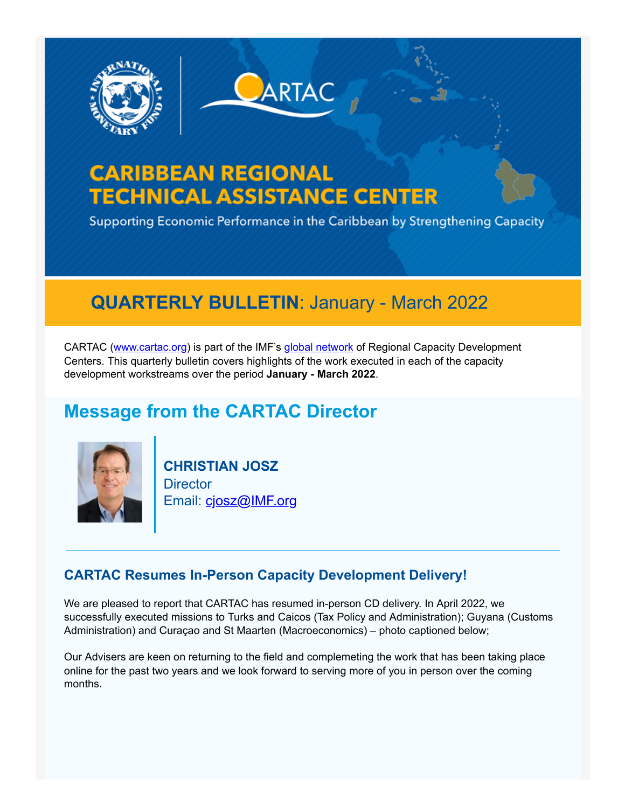

# **CARIBBEAN REGIONAL TECHNICAL ASSISTANCE CENTER**

Supporting Economic Performance in the Caribbean by Strengthening Capacity

**ARTAC** 

## **QUARTERLY BULLETIN**: January - March 2022

CARTAC ([www.cartac.org\)](https://www.cvent.com/pub/eMarketing/Pages/www.cartac.org) is part of the IMF's [global network](https://www.imf.org/-/media/Files/capacity-developement/Brochures/brochure-regional-capacity-development-center-april-2021.ashx) of Regional Capacity Development Centers. This quarterly bulletin covers highlights of the work executed in each of the capacity development workstreams over the period **January - March 2022**.

### **Message from the CARTAC Director**



**CHRISTIAN JOSZ Director** Email: [cjosz@IMF.org](mailto:cjosz@imf.org)

#### **CARTAC Resumes In-Person Capacity Development Delivery!**

We are pleased to report that CARTAC has resumed in-person CD delivery. In April 2022, we successfully executed missions to Turks and Caicos (Tax Policy and Administration); Guyana (Customs Administration) and Curaçao and St Maarten (Macroeconomics) – photo captioned below;

Our Advisers are keen on returning to the field and complemeting the work that has been taking place online for the past two years and we look forward to serving more of you in person over the coming months.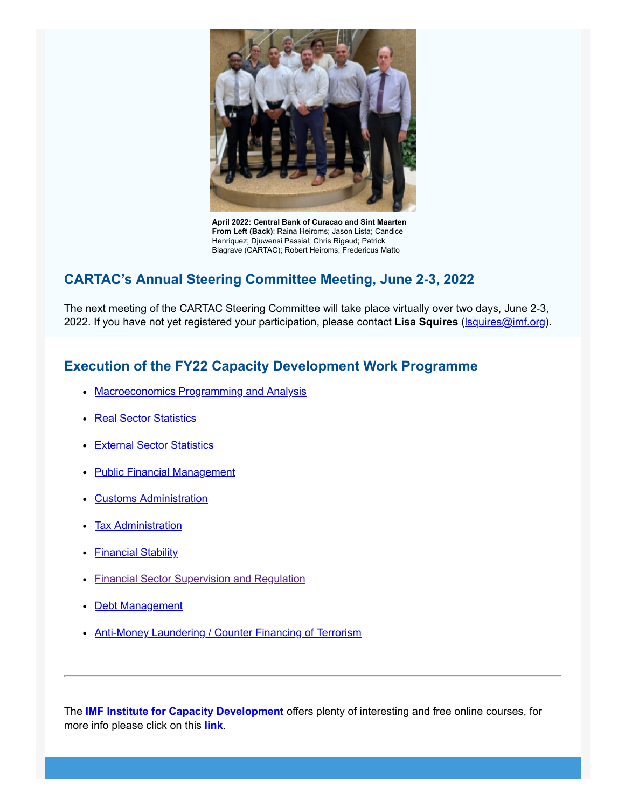

**April 2022: Central Bank of Curacao and Sint Maarten From Left (Back)**: Raina Heiroms; Jason Lista; Candice Henriquez; Djuwensi Passial; Chris Rigaud; Patrick Blagrave (CARTAC); Robert Heiroms; Fredericus Matto

#### **CARTAC's Annual Steering Committee Meeting, June 2-3, 2022**

The next meeting of the CARTAC Steering Committee will take place virtually over two days, June 2-3, 2022. If you have not yet registered your participation, please contact **Lisa Squires** ([lsquires@imf.org](mailto:lsquires@imf.org)).

#### **Execution of the FY22 Capacity Development Work Programme**

- [Macroeconomics Programming and Analysis](https://custom.cvent.com/49696820ADE54E53A4E8AE95054F8677/files/b7d1aaefa0d14ca594da6f13792d65d9.pdf#page=3)
- [Real Sector Statistics](https://custom.cvent.com/49696820ADE54E53A4E8AE95054F8677/files/b7d1aaefa0d14ca594da6f13792d65d9.pdf#page=4)
- [External Sector Statistics](https://custom.cvent.com/49696820ADE54E53A4E8AE95054F8677/files/b7d1aaefa0d14ca594da6f13792d65d9.pdf#page=6)
- [Public Financial Management](https://custom.cvent.com/49696820ADE54E53A4E8AE95054F8677/files/b7d1aaefa0d14ca594da6f13792d65d9.pdf#page=8)
- [Customs Administration](https://custom.cvent.com/49696820ADE54E53A4E8AE95054F8677/files/b7d1aaefa0d14ca594da6f13792d65d9.pdf#page=10)
- [Tax Administration](https://custom.cvent.com/49696820ADE54E53A4E8AE95054F8677/files/b7d1aaefa0d14ca594da6f13792d65d9.pdf#page=11)
- **[Financial Stability](https://custom.cvent.com/49696820ADE54E53A4E8AE95054F8677/files/b7d1aaefa0d14ca594da6f13792d65d9.pdf#page=15)**
- **[Financial Sector Supervision and Regulation](https://custom.cvent.com/49696820ADE54E53A4E8AE95054F8677/files/b7d1aaefa0d14ca594da6f13792d65d9.pdf#page=17)**
- [Debt Management](https://custom.cvent.com/49696820ADE54E53A4E8AE95054F8677/files/b7d1aaefa0d14ca594da6f13792d65d9.pdf#page=20)
- [Anti-Money Laundering / Counter Financing of Terrorism](https://custom.cvent.com/49696820ADE54E53A4E8AE95054F8677/files/b7d1aaefa0d14ca594da6f13792d65d9.pdf#page=21)

The **[IMF Institute for Capacity Development](https://www.cartac.org/content/CARTAC/Home/CapacityDevelopment/IMFRTACS.html)** offers plenty of interesting and free online courses, for more info please click on this **[link](https://www.cartac.org/content/CARTAC/Home/CapacityDevelopment/IMFRTACS.html)**.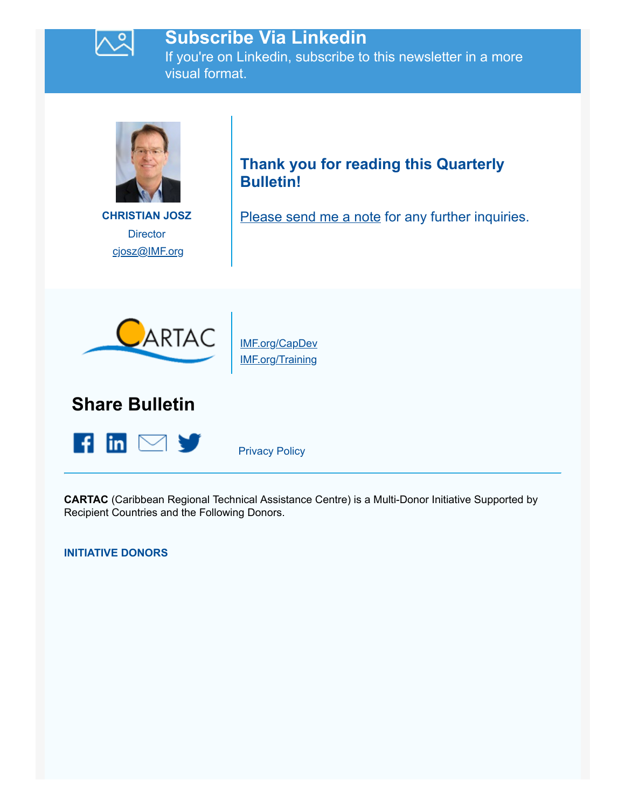

### **Subscribe Via Linkedin**

If you're on Linkedin, subscribe to this newsletter in a more visual format.



**CHRISTIAN JOSZ Director** [cjosz@IMF.org](mailto:cjosz@imf.org)

### **Thank you for reading this Quarterly Bulletin!**

[Please send me a note](mailto:lsquires@imf.org) for any further inquiries.



[IMF.org/CapDev](https://www.cvent.com/pub/eMarketing/Pages/IMF.org/CapDev) [IMF.org/Training](https://www.cvent.com/pub/eMarketing/Pages/IMF.org/Training)

**Share Bulletin**



[Privacy Policy](https://www.imf.org/external/privacy.htm)

**CARTAC** (Caribbean Regional Technical Assistance Centre) is a Multi-Donor Initiative Supported by Recipient Countries and the Following Donors.

**INITIATIVE DONORS**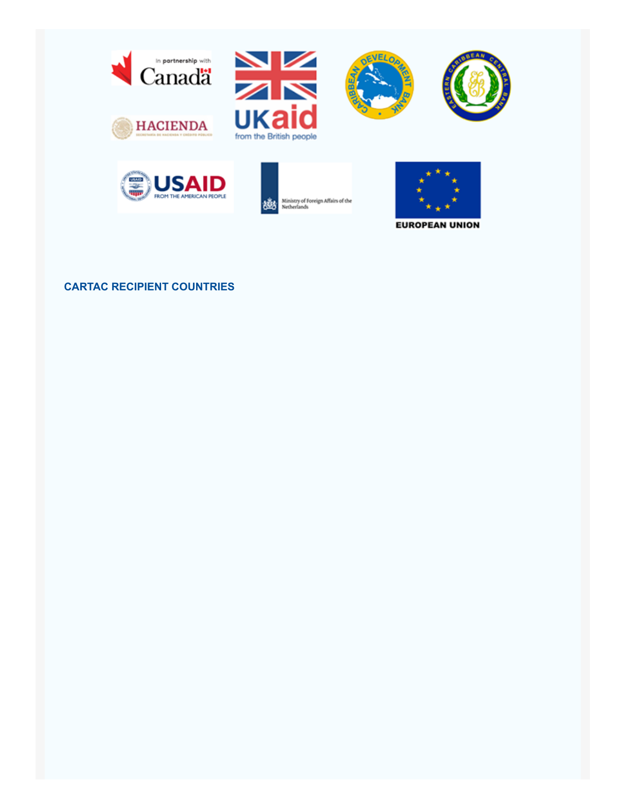













**EUROPEAN UNION** 

#### **CARTAC RECIPIENT COUNTRIES**